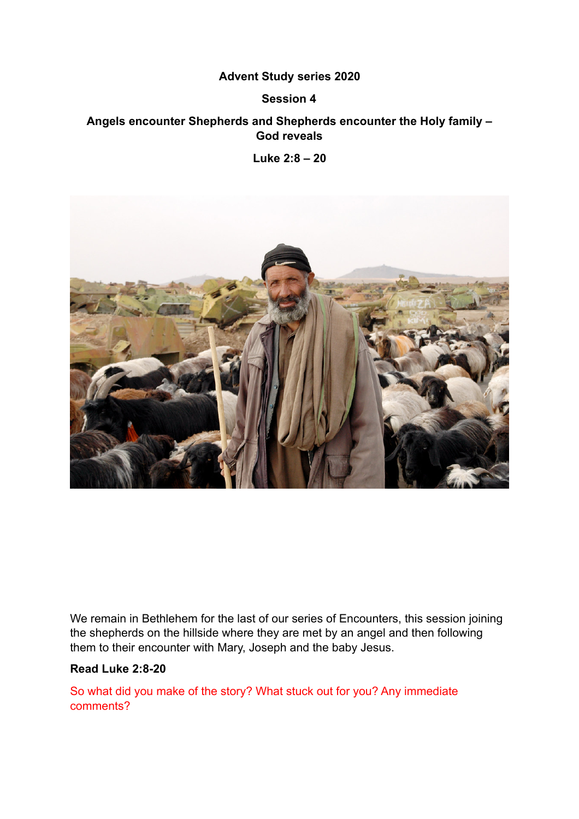## **Advent Study series 2020**

#### **Session 4**

# **Angels encounter Shepherds and Shepherds encounter the Holy family – God reveals**

**Luke 2:8 – 20** 



We remain in Bethlehem for the last of our series of Encounters, this session joining the shepherds on the hillside where they are met by an angel and then following them to their encounter with Mary, Joseph and the baby Jesus.

#### **Read Luke 2:8-20**

So what did you make of the story? What stuck out for you? Any immediate comments?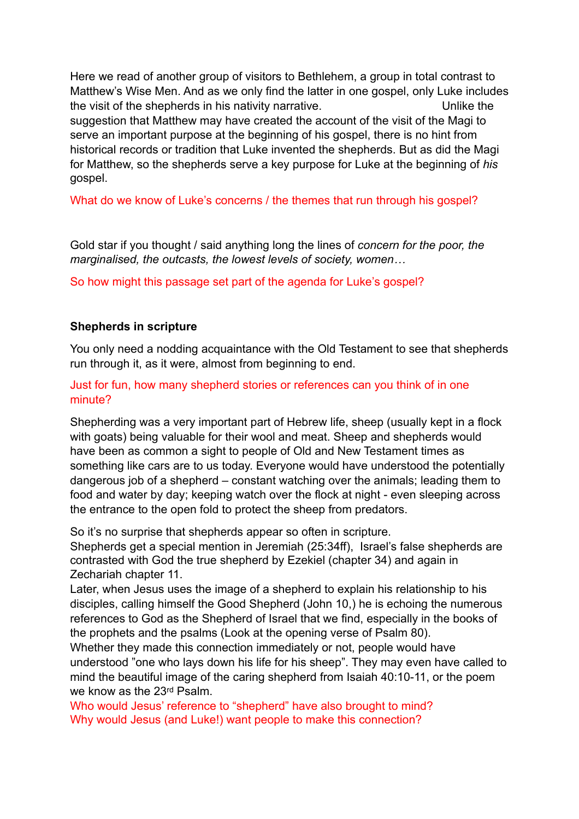Here we read of another group of visitors to Bethlehem, a group in total contrast to Matthew's Wise Men. And as we only find the latter in one gospel, only Luke includes the visit of the shepherds in his nativity narrative. Unlike the suggestion that Matthew may have created the account of the visit of the Magi to serve an important purpose at the beginning of his gospel, there is no hint from historical records or tradition that Luke invented the shepherds. But as did the Magi for Matthew, so the shepherds serve a key purpose for Luke at the beginning of *his* gospel.

What do we know of Luke's concerns / the themes that run through his gospel?

Gold star if you thought / said anything long the lines of *concern for the poor, the marginalised, the outcasts, the lowest levels of society, women…* 

So how might this passage set part of the agenda for Luke's gospel?

#### **Shepherds in scripture**

You only need a nodding acquaintance with the Old Testament to see that shepherds run through it, as it were, almost from beginning to end.

Just for fun, how many shepherd stories or references can you think of in one minute?

Shepherding was a very important part of Hebrew life, sheep (usually kept in a flock with goats) being valuable for their wool and meat. Sheep and shepherds would have been as common a sight to people of Old and New Testament times as something like cars are to us today. Everyone would have understood the potentially dangerous job of a shepherd – constant watching over the animals; leading them to food and water by day; keeping watch over the flock at night - even sleeping across the entrance to the open fold to protect the sheep from predators.

So it's no surprise that shepherds appear so often in scripture.

Shepherds get a special mention in Jeremiah (25:34ff), Israel's false shepherds are contrasted with God the true shepherd by Ezekiel (chapter 34) and again in Zechariah chapter 11.

Later, when Jesus uses the image of a shepherd to explain his relationship to his disciples, calling himself the Good Shepherd (John 10,) he is echoing the numerous references to God as the Shepherd of Israel that we find, especially in the books of the prophets and the psalms (Look at the opening verse of Psalm 80).

Whether they made this connection immediately or not, people would have understood "one who lays down his life for his sheep". They may even have called to mind the beautiful image of the caring shepherd from Isaiah 40:10-11, or the poem we know as the 23rd Psalm.

Who would Jesus' reference to "shepherd" have also brought to mind? Why would Jesus (and Luke!) want people to make this connection?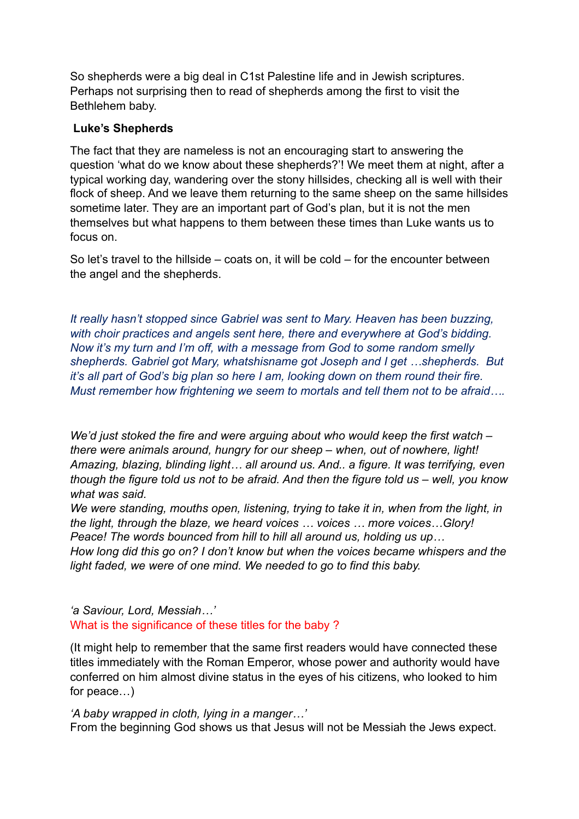So shepherds were a big deal in C1st Palestine life and in Jewish scriptures. Perhaps not surprising then to read of shepherds among the first to visit the Bethlehem baby.

## **Luke's Shepherds**

The fact that they are nameless is not an encouraging start to answering the question 'what do we know about these shepherds?'! We meet them at night, after a typical working day, wandering over the stony hillsides, checking all is well with their flock of sheep. And we leave them returning to the same sheep on the same hillsides sometime later. They are an important part of God's plan, but it is not the men themselves but what happens to them between these times than Luke wants us to focus on.

So let's travel to the hillside – coats on, it will be cold – for the encounter between the angel and the shepherds.

*It really hasn't stopped since Gabriel was sent to Mary. Heaven has been buzzing, with choir practices and angels sent here, there and everywhere at God's bidding. Now it's my turn and I'm off, with a message from God to some random smelly shepherds. Gabriel got Mary, whatshisname got Joseph and I get …shepherds. But it's all part of God's big plan so here I am, looking down on them round their fire. Must remember how frightening we seem to mortals and tell them not to be afraid….* 

*We'd just stoked the fire and were arguing about who would keep the first watch – there were animals around, hungry for our sheep – when, out of nowhere, light! Amazing, blazing, blinding light… all around us. And.. a figure. It was terrifying, even though the figure told us not to be afraid. And then the figure told us – well, you know what was said.* 

*We were standing, mouths open, listening, trying to take it in, when from the light, in the light, through the blaze, we heard voices … voices … more voices…Glory! Peace! The words bounced from hill to hill all around us, holding us up…* 

*How long did this go on? I don't know but when the voices became whispers and the light faded, we were of one mind. We needed to go to find this baby.* 

*'a Saviour, Lord, Messiah…'*  What is the significance of these titles for the baby ?

(It might help to remember that the same first readers would have connected these titles immediately with the Roman Emperor, whose power and authority would have conferred on him almost divine status in the eyes of his citizens, who looked to him for peace…)

*'A baby wrapped in cloth, lying in a manger…'* 

From the beginning God shows us that Jesus will not be Messiah the Jews expect.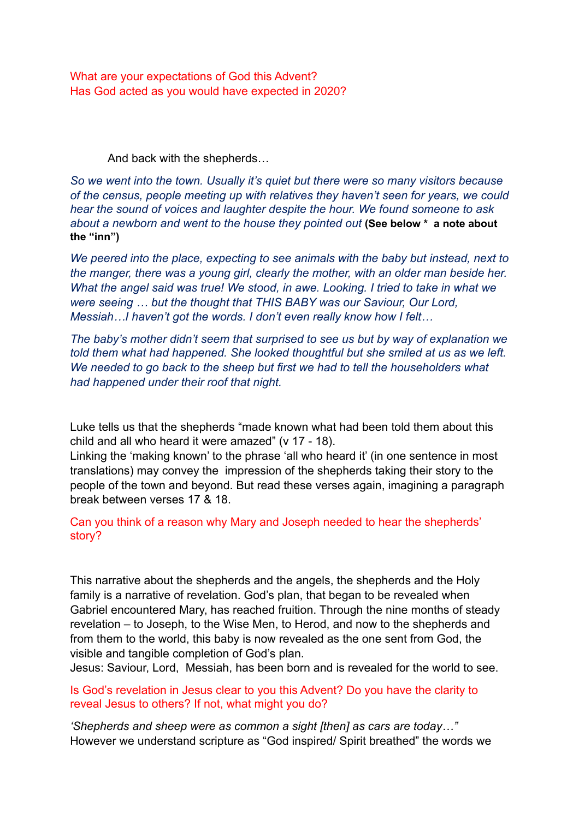What are your expectations of God this Advent? Has God acted as you would have expected in 2020?

And back with the shepherds…

*So we went into the town. Usually it's quiet but there were so many visitors because of the census, people meeting up with relatives they haven't seen for years, we could hear the sound of voices and laughter despite the hour. We found someone to ask about a newborn and went to the house they pointed out* **(See below \* a note about the "inn")** 

*We peered into the place, expecting to see animals with the baby but instead, next to the manger, there was a young girl, clearly the mother, with an older man beside her. What the angel said was true! We stood, in awe. Looking. I tried to take in what we were seeing … but the thought that THIS BABY was our Saviour, Our Lord, Messiah…I haven't got the words. I don't even really know how I felt…* 

*The baby's mother didn't seem that surprised to see us but by way of explanation we told them what had happened. She looked thoughtful but she smiled at us as we left. We needed to go back to the sheep but first we had to tell the householders what had happened under their roof that night.* 

Luke tells us that the shepherds "made known what had been told them about this child and all who heard it were amazed" (v 17 - 18).

Linking the 'making known' to the phrase 'all who heard it' (in one sentence in most translations) may convey the impression of the shepherds taking their story to the people of the town and beyond. But read these verses again, imagining a paragraph break between verses 17 & 18.

Can you think of a reason why Mary and Joseph needed to hear the shepherds' story?

This narrative about the shepherds and the angels, the shepherds and the Holy family is a narrative of revelation. God's plan, that began to be revealed when Gabriel encountered Mary, has reached fruition. Through the nine months of steady revelation – to Joseph, to the Wise Men, to Herod, and now to the shepherds and from them to the world, this baby is now revealed as the one sent from God, the visible and tangible completion of God's plan.

Jesus: Saviour, Lord, Messiah, has been born and is revealed for the world to see.

Is God's revelation in Jesus clear to you this Advent? Do you have the clarity to reveal Jesus to others? If not, what might you do?

*'Shepherds and sheep were as common a sight [then] as cars are today…"*  However we understand scripture as "God inspired/ Spirit breathed" the words we